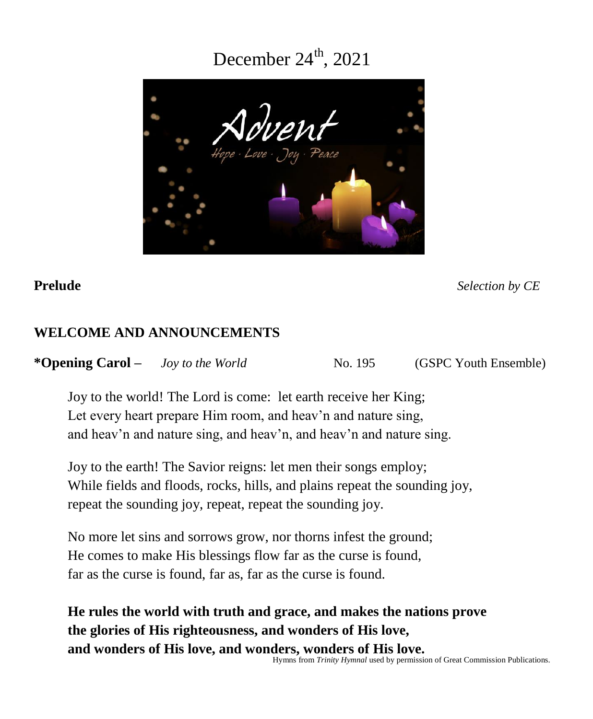# December  $24^{\text{th}}$ , 2021



**Prelude** *Selection by CE*

### **WELCOME AND ANNOUNCEMENTS**

**\*Opening Carol –** *Joy to the World* No. 195 (GSPC Youth Ensemble)

Joy to the world! The Lord is come: let earth receive her King; Let every heart prepare Him room, and heav'n and nature sing, and heav'n and nature sing, and heav'n, and heav'n and nature sing.

Joy to the earth! The Savior reigns: let men their songs employ; While fields and floods, rocks, hills, and plains repeat the sounding joy, repeat the sounding joy, repeat, repeat the sounding joy.

No more let sins and sorrows grow, nor thorns infest the ground; He comes to make His blessings flow far as the curse is found, far as the curse is found, far as, far as the curse is found.

**He rules the world with truth and grace, and makes the nations prove the glories of His righteousness, and wonders of His love, and wonders of His love, and wonders, wonders of His love.**

Hymns from *Trinity Hymnal* used by permission of Great Commission Publications.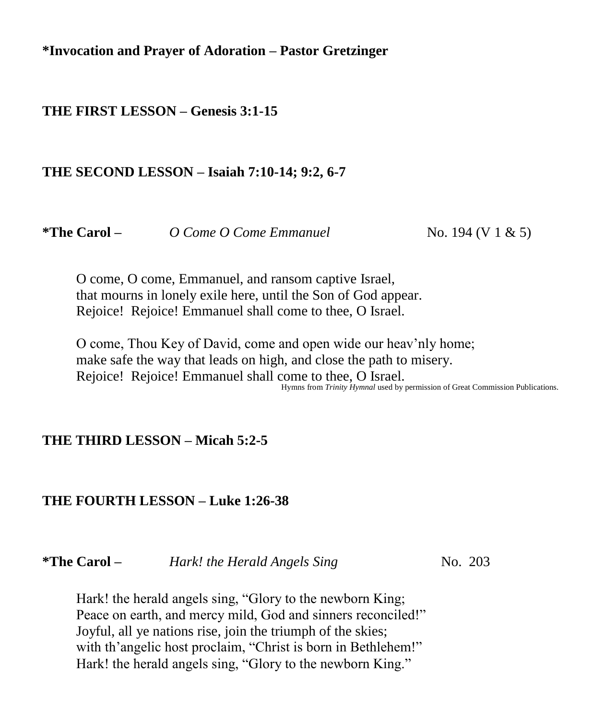#### **\*Invocation and Prayer of Adoration – Pastor Gretzinger**

#### **THE FIRST LESSON – Genesis 3:1-15**

#### **THE SECOND LESSON – Isaiah 7:10-14; 9:2, 6-7**

**\*The Carol –** *O Come O Come Emmanuel* No. 194 (V 1 & 5)

O come, O come, Emmanuel, and ransom captive Israel, that mourns in lonely exile here, until the Son of God appear. Rejoice! Rejoice! Emmanuel shall come to thee, O Israel.

O come, Thou Key of David, come and open wide our heav'nly home; make safe the way that leads on high, and close the path to misery. Rejoice! Rejoice! Emmanuel shall come to thee, O Israel. Hymns from *Trinity Hymnal* used by permission of Great Commission Publications.

#### **THE THIRD LESSON – Micah 5:2-5**

#### **THE FOURTH LESSON – Luke 1:26-38**

**\*The Carol –** *Hark! the Herald Angels Sing*No. 203

Hark! the herald angels sing, "Glory to the newborn King; Peace on earth, and mercy mild, God and sinners reconciled!" Joyful, all ye nations rise, join the triumph of the skies; with th'angelic host proclaim, "Christ is born in Bethlehem!" Hark! the herald angels sing, "Glory to the newborn King."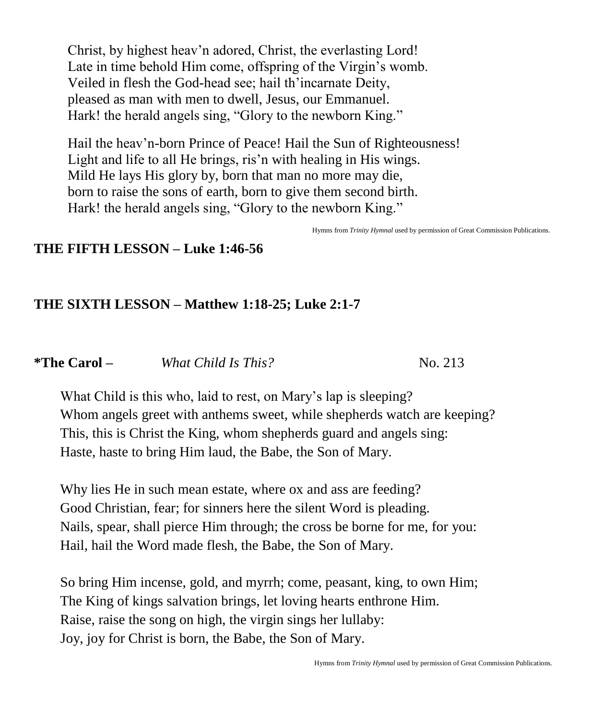Christ, by highest heav'n adored, Christ, the everlasting Lord! Late in time behold Him come, offspring of the Virgin's womb. Veiled in flesh the God-head see; hail th'incarnate Deity, pleased as man with men to dwell, Jesus, our Emmanuel. Hark! the herald angels sing, "Glory to the newborn King."

Hail the heav'n-born Prince of Peace! Hail the Sun of Righteousness! Light and life to all He brings, ris'n with healing in His wings. Mild He lays His glory by, born that man no more may die, born to raise the sons of earth, born to give them second birth. Hark! the herald angels sing, "Glory to the newborn King."

Hymns from *Trinity Hymnal* used by permission of Great Commission Publications.

#### **THE FIFTH LESSON – Luke 1:46-56**

#### **THE SIXTH LESSON – Matthew 1:18-25; Luke 2:1-7**

**\*The Carol –** *What Child Is This?* No. 213

What Child is this who, laid to rest, on Mary's lap is sleeping? Whom angels greet with anthems sweet, while shepherds watch are keeping? This, this is Christ the King, whom shepherds guard and angels sing: Haste, haste to bring Him laud, the Babe, the Son of Mary.

Why lies He in such mean estate, where ox and ass are feeding? Good Christian, fear; for sinners here the silent Word is pleading. Nails, spear, shall pierce Him through; the cross be borne for me, for you: Hail, hail the Word made flesh, the Babe, the Son of Mary.

So bring Him incense, gold, and myrrh; come, peasant, king, to own Him; The King of kings salvation brings, let loving hearts enthrone Him. Raise, raise the song on high, the virgin sings her lullaby: Joy, joy for Christ is born, the Babe, the Son of Mary.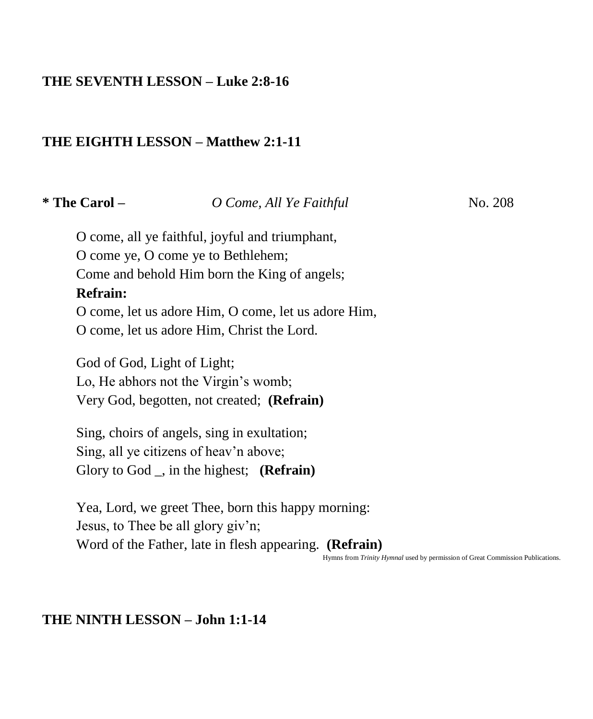#### **THE SEVENTH LESSON – Luke 2:8-16**

#### **THE EIGHTH LESSON – Matthew 2:1-11**

## **\* The Carol –** *O Come, All Ye Faithful* No. 208

O come, all ye faithful, joyful and triumphant, O come ye, O come ye to Bethlehem; Come and behold Him born the King of angels; **Refrain:** O come, let us adore Him, O come, let us adore Him, O come, let us adore Him, Christ the Lord.

God of God, Light of Light; Lo, He abhors not the Virgin's womb; Very God, begotten, not created; **(Refrain)**

Sing, choirs of angels, sing in exultation; Sing, all ye citizens of heav'n above; Glory to God \_, in the highest; **(Refrain)**

Yea, Lord, we greet Thee, born this happy morning: Jesus, to Thee be all glory giv'n; Word of the Father, late in flesh appearing. **(Refrain)**

Hymns from *Trinity Hymnal* used by permission of Great Commission Publications.

## **THE NINTH LESSON – John 1:1-14**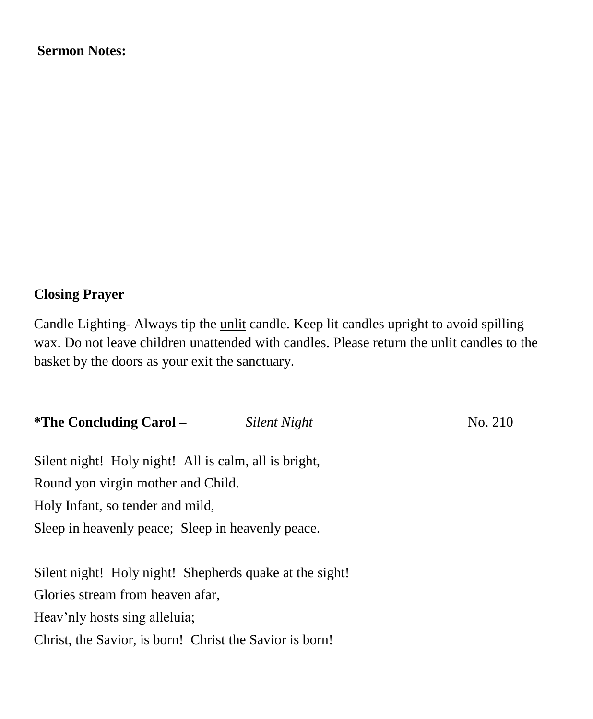### **Sermon Notes:**

### **Closing Prayer**

Candle Lighting- Always tip the unlit candle. Keep lit candles upright to avoid spilling wax. Do not leave children unattended with candles. Please return the unlit candles to the basket by the doors as your exit the sanctuary.

**\*The Concluding Carol –** *Silent Night*No. 210

Silent night! Holy night! All is calm, all is bright, Round yon virgin mother and Child. Holy Infant, so tender and mild, Sleep in heavenly peace; Sleep in heavenly peace.

Silent night! Holy night! Shepherds quake at the sight! Glories stream from heaven afar,

Heav'nly hosts sing alleluia;

Christ, the Savior, is born! Christ the Savior is born!